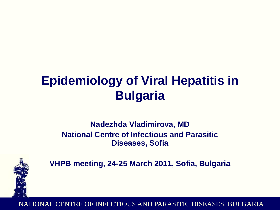# **Epidemiology of Viral Hepatitis in Bulgaria**

### **Nadezhda Vladimirova, MD National Centre of Infectious and Parasitic Diseases, Sofia**



**VHPB meeting, 24-25 March 2011, Sofia, Bulgaria**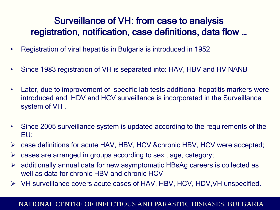## Surveillance of VH: from case to analysis registration, notification, case definitions, data flow …

- Registration of viral hepatitis in Bulgaria is introduced in 1952
- Since 1983 registration of VH is separated into: HAV, HBV and HV NANB
- Later, due to improvement of specific lab tests additional hepatitis markers were introduced and HDV and HCV surveillance is incorporated in the Surveillance system of VH .
- Since 2005 surveillance system is updated according to the requirements of the EU:
- case definitions for acute HAV, HBV, HCV &chronic HBV, HCV were accepted;
- $\triangleright$  cases are arranged in groups according to sex, age, category;
- $\triangleright$  additionally annual data for new asymptomatic HBsAg careers is collected as well as data for chronic HBV and chronic HCV
- VH surveillance covers acute cases of HAV, HBV, HCV, HDV,VH unspecified.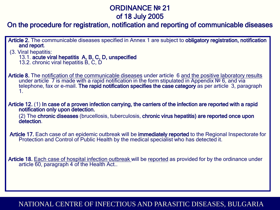#### ORDINANCE № 21 of 18 July 2005

#### On the procedure for registration, notification and reporting of communicable diseases

- Article 2. The communicable diseases specified in Annex 1 are subject to obligatory registration, notification and report.
- (3. Viral hepatitis:
	- 13.1. acute viral hepatitis A, B, C, D, unspecified
	- 13.2. chronic viral hepatitis В, С, D
- Article 8. The notification of the communicable diseases under article 6 and the positive laboratory results under article 7 is made with a rapid notification in the form stipulated in Appendix № 6, and via telephone, fax or e-mail. The rapid notification specifies the case category as per article 3, paragraph 1.
- Article 12. (1) In case of a proven infection carrying, the carriers of the infection are reported with a rapid notification only upon detection.
	- (2) The chronic diseases (brucellosis, tuberculosis, chronic virus hepatitis) are reported once upon detection.
- Article 17. Each case of an epidemic outbreak will be immediately reported to the Regional Inspectorate for Protection and Control of Public Health by the medical specialist who has detected it.
- Article 18. Each case of hospital infection outbreak will be reported as provided for by the ordinance under article 60, paragraph 4 of the Health Act..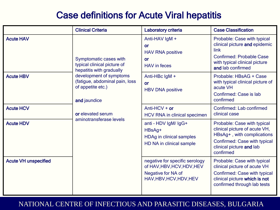## Case definitions for Acute Viral hepatitis

|                             | <b>Clinical Criteria</b>                                                                       | Laboratory criteria                                                                                           | <b>Case Classification</b>                                                                                                                                          |
|-----------------------------|------------------------------------------------------------------------------------------------|---------------------------------------------------------------------------------------------------------------|---------------------------------------------------------------------------------------------------------------------------------------------------------------------|
| <b>Acute HAV</b>            | Symptomatic cases with<br>typical clinical picture of<br>hepatitis with gradually              | Anti-HAV IgM +<br><b>or</b><br><b>HAV RNA positive</b><br>or<br><b>HAV</b> in feces                           | Probable: Case with typical<br>clinical picture and epidemic<br>link<br><b>Confirmed: Probable Case</b><br>with typical clinical picture<br>and lab confirmed       |
| <b>Acute HBV</b>            | development of symptoms<br>(fatigue, abdominal pain, loss<br>of appetite etc.)<br>and jaundice | Anti-HBc IgM +<br><b>or</b><br><b>HBV DNA positive</b>                                                        | Probable: HBsAG + Case<br>with typical clinical picture of<br>acute VH<br>Confirmed: Case is lab<br>confirmed                                                       |
| <b>Acute HCV</b>            | or elevated serum                                                                              | Anti-HCV + or<br><b>HCV RNA in clinical specimen</b>                                                          | Confirmed: Lab confirmed<br>clinical case                                                                                                                           |
| <b>Acute HDV</b>            | aminotransferase levels                                                                        | anti - HDV IgM/ IgG+<br>HBsAg+<br><b>HDAg in clinical samples</b><br>HD NA in clinical sample                 | Probable: Case with typical<br>clinical picture of acute VH,<br>HBsAg+, with complications<br>Confirmed: Case with typical<br>clinical picture and lab<br>confirmed |
| <b>Acute VH unspecified</b> |                                                                                                | negative for specific serology<br>of HAV, HBV, HCV, HDV, HEV<br>Negative for NA of<br>HAV, HBV, HCV, HDV, HEV | Probable: Case with typical<br>clinical picture of acute VH<br>Confirmed: Case with typical<br>clinical picture which is not<br>confirmed through lab tests         |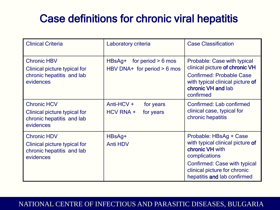# Case definitions for chronic viral hepatitis

| <b>Clinical Criteria</b>                                                                     | Laboratory criteria                                               | <b>Case Classification</b>                                                                                                                                                                    |
|----------------------------------------------------------------------------------------------|-------------------------------------------------------------------|-----------------------------------------------------------------------------------------------------------------------------------------------------------------------------------------------|
| <b>Chronic HBV</b><br>Clinical picture typical for<br>chronic hepatitis and lab<br>evidences | for period $> 6$ mos<br>$HBSAg+$<br>HBV DNA+ for period $> 6$ mos | Probable: Case with typical<br>clinical picture of chronic VH<br><b>Confirmed: Probable Case</b><br>with typical clinical picture of<br>chronic VH and lab<br>confirmed                       |
| <b>Chronic HCV</b><br>Clinical picture typical for<br>chronic hepatitis and lab<br>evidences | Anti-HCV $+$<br>for years<br>HCV RNA +<br>for years               | Confirmed: Lab confirmed<br>clinical case, typical for<br>chronic hepatitis                                                                                                                   |
| <b>Chronic HDV</b><br>Clinical picture typical for<br>chronic hepatitis and lab<br>evidences | HBsAg+<br><b>Anti HDV</b>                                         | Probable: HBsAg + Case<br>with typical clinical picture of<br>chronic VH with<br>complications<br>Confirmed: Case with typical<br>clinical picture for chronic<br>hepatitis and lab confirmed |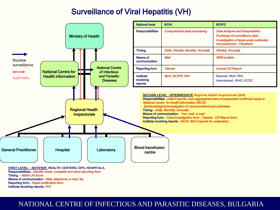### Surveillance of Viral Hepatitis (VH)

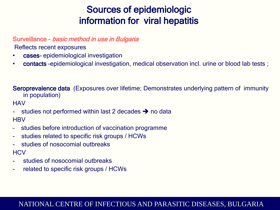## Sources of epidemiologic information for viral hepatitis

#### Surveillance - basic method in use in Bulgaria

Reflects recent exposures

- cases- epidemiological investigation
- **contacts** -epidemiological investigation, medical observation incl. urine or blood lab tests;

Seroprevalence data (Exposures over lifetime; Demonstrates underlying pattern of immunity in population)

**HAV** 

- studies not performed within last 2 decades  $\rightarrow$  no data **HBV**
- studies before introduction of vaccination programme
- studies related to specific risk groups / HCWs
- studies of nosocomial outbreaks **HCV**
- studies of nosocomial outbreaks
- related to specific risk groups / HCWs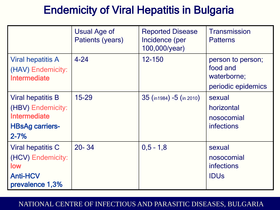# Endemicity of Viral Hepatitis in Bulgaria

|                                                                                                     | <b>Usual Age of</b><br>Patients (years) | <b>Reported Disease</b><br>Incidence (per<br>100,000/year) | <b>Transmission</b><br><b>Patterns</b>                             |
|-----------------------------------------------------------------------------------------------------|-----------------------------------------|------------------------------------------------------------|--------------------------------------------------------------------|
| Viral hepatitis A<br>(HAV) Endemicity:<br>Intermediate                                              | $4 - 24$                                | 12-150                                                     | person to person;<br>food and<br>waterborne;<br>periodic epidemics |
| <b>Viral hepatitis B</b><br>(HBV) Endemicity:<br>Intermediate<br><b>HBsAg carriers-</b><br>$2 - 7%$ | $15 - 29$                               | $35$ (in 1984) -5 (in 2010)                                | sexual<br>horizontal<br>nosocomial<br>infections                   |
| <b>Viral hepatitis C</b><br>(HCV) Endemicity:<br>low<br><b>Anti-HCV</b><br>prevalence 1,3%          | $20 - 34$                               | $0,5 - 1,8$                                                | sexual<br>nosocomial<br><b>infections</b><br><b>IDUs</b>           |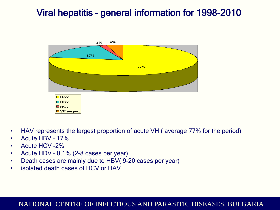## Viral hepatitis – general information for 1998-2010



- HAV represents the largest proportion of acute VH (average 77% for the period)
- Acute HBV 17%
- Acute HCV -2%
- Acute HDV 0,1% (2-8 cases per year)
- Death cases are mainly due to HBV( 9-20 cases per year)
- isolated death cases of HCV or HAV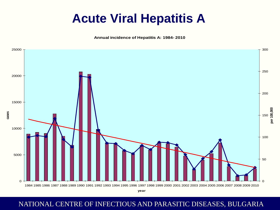# **Acute Viral Hepatitis A**

**Annual incidence of Hepatitis A: 1984- 2010**

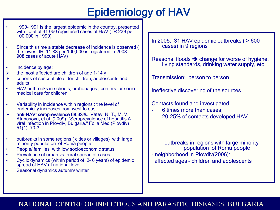# Epidemiology of HAV

- • 1990-1991 is the largest epidemic in the country, presented with total of 41 060 registered cases of HAV ( IR 239 per 100,000 in 1990)
- Since this time a stable decrease of incidence is observed ( the lowest IR  $11,88$  per 100,000 is registered in 2008 = 908 cases of acute HAV)
- incidence by age:
- the most affected are children of age 1-14 y
- $\triangleright$  cohorts of susceptible older children, adolescents and adults
- HAV outbreaks in schools, orphanages , centers for socio- medical care for children
- Variability in incidence within regions : the level of endemicity increases from west to east
- anti-HAVt seroprevalence 68.33%. Vatev, N. T., M. V. Atanasova, et al. (2009). "Seroprevalence of hepatitis A viral infection in Plovdiv, Bulgaria." Folia Med (Plovdiv) 51(1): 70-3
- outbreaks in some regions ( cities or villages) with large minority population of Roma people\*
- People/ families with low socioeconomic status
- Prevalence of urban vs. rural spread of cases
- Cyclic dynamics (within period of 2- 6 years) of epidemic spread of HAV at national level
- Seasonal dynamics autumn/ winter

In 2005: 31 HAV epidemic outbreaks ( > 600 cases) in 9 regions

Reasons: floods  $\rightarrow$  change for worse of hygiene, living standards, drinking water supply, etc.

Transmission: person to person

Ineffective discovering of the sources

#### Contacts found and investigated

- 6 times more than cases;
- 20-25% of contacts developed HAV

outbreaks in regions with large minority population of Roma people

- neighborhood in Plovdiv(2006): affected ages – children and adolescents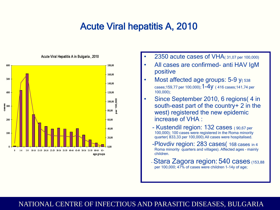## Acute Viral hepatitis A, 2010



#### Acute Viral Hepatitis А in Bulgaria , 2010

- 2350 acute cases of VHA( 31,07 per 100,000)
- All cases are confirmed- anti HAV IgM positive
- Most affected age groups: 5-9 y(538) cases;159,77 per 100,000);1-4y ( 416 cases;141,74 per 100,000);
- Since September 2010, 6 regions( 4 in south-east part of the country+ 2 in the west) registered the new epidemic increase of VHA :
	- Kustendil region: 132 cases ( 90,67 per 100,000); 100 cases were registered in the Roma minority quarter( 833,33 per 100,000).All cases were hospitalised.
	- -Plovdiv region: 283 cases( 168 cases in 4 Roma minority quarters and villages). Affected ages – mainly children.
	- -Stara Zagora region: 540 cases (153,88 per 100,000; 47% of cases were children 1-14y of age;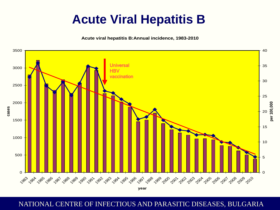# **Acute Viral Hepatitis B**

**Acute viral hepatitis B:Annual incidence, 1983-2010**

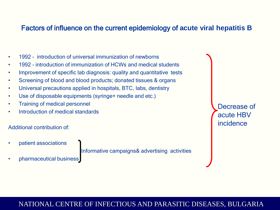#### Factors of influence on the current epidemiology of **acute viral hepatitis B**

- 1992 introduction of universal immunization of newborns
- 1992 introduction of immunization of HCWs and medical students
- Improvement of specific lab diagnosis: quality and quantitative tests
- Screening of blood and blood products; donated tissues & organs
- Universal precautions applied in hospitals, BTC, labs, dentistry
- Use of disposable equipments (syringe+ needle and etc.)
- Training of medical personnel
- Introduction of medical standards

#### Additional contribution of:

• patient associations

Informative campaigns& advertising activities

• pharmaceutical business

Decrease of acute HBV incidence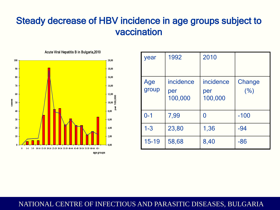## Steady decrease of HBV incidence in age groups subject to vaccination



| year         | 1992                        | 2010                        |                |
|--------------|-----------------------------|-----------------------------|----------------|
| Age<br>group | incidence<br>per<br>100,000 | incidence<br>per<br>100,000 | Change<br>(% ) |
| $0 - 1$      | 7,99                        | 0                           | $-100$         |
| $1-3$        | 23,80                       | 1,36                        | $-94$          |
| 15-19        | 58,68                       | 8,40                        | $-86$          |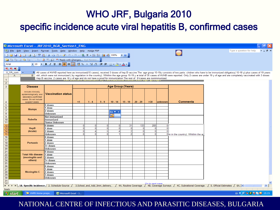## WHO JRF, Bulgaria 2010

## specific incidence acute viral hepatitis B, confirmed cases

|                                                                                                 |                                               | Microsoft Excel - JRF2010_BGR_Section1_ENG                                                                              |                  |                               |                      |                      |                          |                 |                     |                      |                                     |                                                                                                                                                                                                                         |
|-------------------------------------------------------------------------------------------------|-----------------------------------------------|-------------------------------------------------------------------------------------------------------------------------|------------------|-------------------------------|----------------------|----------------------|--------------------------|-----------------|---------------------|----------------------|-------------------------------------|-------------------------------------------------------------------------------------------------------------------------------------------------------------------------------------------------------------------------|
|                                                                                                 |                                               |                                                                                                                         |                  |                               |                      |                      |                          |                 |                     |                      |                                     |                                                                                                                                                                                                                         |
|                                                                                                 |                                               | [28] Eile Edit View Insert Format Tools Data Window Help Adobe PDF                                                      |                  |                               |                      |                      |                          |                 |                     |                      |                                     | Type a question for help                                                                                                                                                                                                |
|                                                                                                 |                                               | ┆DBBB313Q1♡鉄 X BB- - 3   9 - C -   9 ∑ - 2   X       10 10 100% -   ◎                                                   |                  |                               |                      |                      |                          |                 |                     |                      |                                     |                                                                                                                                                                                                                         |
|                                                                                                 |                                               |                                                                                                                         |                  |                               |                      |                      |                          |                 |                     |                      |                                     |                                                                                                                                                                                                                         |
| Arial                                                                                           |                                               |                                                                                                                         |                  |                               |                      |                      |                          |                 |                     |                      |                                     |                                                                                                                                                                                                                         |
| 因因相                                                                                             |                                               |                                                                                                                         |                  |                               |                      |                      |                          |                 |                     |                      |                                     |                                                                                                                                                                                                                         |
| U VA com                                                                                        |                                               |                                                                                                                         |                  |                               |                      |                      |                          |                 |                     |                      |                                     | All cases of AVHB reported here as immunised(15 cases), received 3 doses of hep B vaccine. The age group 15-19y consists of two parts: chidren who have to be immunized obligatory( 15-18 y) plus cases of 19 years     |
| $\mathsf{A}$                                                                                    |                                               |                                                                                                                         |                  |                               |                      |                      |                          |                 |                     |                      |                                     | B old , which were not immunized (by regulation in the country). Whithin the age group 15-19 y a total of 35 cases of AVHB were reported. Only 2 cases are under 19 y of age and are completely vaccinated with 3 doses |
|                                                                                                 |                                               | Hep B vaccine. 2 cases are 18 y of age and do not have a proof for immunization. The rest of 31 cases are nonimmunised. |                  |                               |                      |                      |                          |                 |                     |                      |                                     |                                                                                                                                                                                                                         |
| $\overline{1}$                                                                                  |                                               |                                                                                                                         |                  |                               |                      |                      |                          |                 |                     |                      |                                     |                                                                                                                                                                                                                         |
| $\overline{2}$                                                                                  |                                               |                                                                                                                         |                  |                               |                      |                      |                          |                 |                     |                      |                                     |                                                                                                                                                                                                                         |
| $\overline{\mathbf{3}}$                                                                         | <b>Disease</b>                                |                                                                                                                         |                  |                               |                      |                      | <b>Age Group (Years)</b> |                 |                     |                      |                                     |                                                                                                                                                                                                                         |
|                                                                                                 |                                               |                                                                                                                         |                  |                               |                      |                      |                          |                 |                     |                      |                                     |                                                                                                                                                                                                                         |
|                                                                                                 | Include clinically,<br>epidemiologically, and | Vaccination status                                                                                                      |                  |                               |                      |                      |                          |                 |                     |                      |                                     |                                                                                                                                                                                                                         |
|                                                                                                 | laboratory-confirmed                          |                                                                                                                         |                  |                               |                      |                      |                          |                 |                     |                      |                                     |                                                                                                                                                                                                                         |
|                                                                                                 | cases. Do not include                         |                                                                                                                         |                  |                               |                      |                      |                          |                 |                     |                      |                                     |                                                                                                                                                                                                                         |
| $\begin{array}{ c c }\n\hline\n4 \\ \hline\n5 \\ \hline\n6 \\ \hline\n7 \\ \hline\n\end{array}$ | suspect cases.                                |                                                                                                                         | <1               | $1 - 4$                       | $5 - 9$              | $10 - 14$            | $15 - 19$                | $20 - 29$       | $>30$               | lunknown             | <b>Comments</b>                     |                                                                                                                                                                                                                         |
|                                                                                                 |                                               | 0 doses                                                                                                                 |                  |                               |                      |                      |                          |                 |                     |                      |                                     |                                                                                                                                                                                                                         |
|                                                                                                 | <b>Mumps</b>                                  | I dose                                                                                                                  |                  |                               |                      |                      |                          |                 |                     |                      |                                     |                                                                                                                                                                                                                         |
|                                                                                                 |                                               | doses                                                                                                                   |                  |                               |                      | $Ex \bullet x$       |                          |                 |                     |                      |                                     |                                                                                                                                                                                                                         |
| $\frac{8}{9}$                                                                                   |                                               | Unknown                                                                                                                 |                  |                               |                      | Ł                    |                          |                 |                     |                      |                                     |                                                                                                                                                                                                                         |
| 10                                                                                              |                                               | Not immunized                                                                                                           |                  |                               |                      |                      |                          |                 |                     |                      |                                     |                                                                                                                                                                                                                         |
|                                                                                                 | Rubella                                       | Immunized                                                                                                               |                  |                               |                      |                      |                          |                 |                     |                      |                                     |                                                                                                                                                                                                                         |
| 11                                                                                              |                                               | <b>Status Unknown</b>                                                                                                   |                  |                               |                      |                      |                          |                 |                     | o                    |                                     |                                                                                                                                                                                                                         |
| $\frac{12}{13}$                                                                                 | HepB                                          | 0 doses<br>1 dose                                                                                                       | 0<br>$\mathbf 0$ | $\mathbf{0}$<br>0             | 0I<br>$\overline{0}$ | 0I<br>$\overline{0}$ | 31<br>$\Omega$           | 133<br>$\Omega$ | 205<br>$\mathbf{0}$ | n                    |                                     |                                                                                                                                                                                                                         |
|                                                                                                 | (Acute)                                       | doses                                                                                                                   | $\Omega$         | Δ                             | 51                   | $\vert$ 4            | 2                        | $\mathbf{0}$    | $\mathbf{0}$        |                      |                                     |                                                                                                                                                                                                                         |
| $\frac{14}{15}$                                                                                 |                                               | Unknown                                                                                                                 | $\Omega$         | o                             | $\Omega$             | $\blacktriangleleft$ | 2                        | $\Omega$        | $\mathbf{0}$        |                      | Oon in the country). Whithin the ag |                                                                                                                                                                                                                         |
| 16                                                                                              |                                               | 0 doses                                                                                                                 |                  |                               |                      |                      |                          |                 |                     |                      |                                     |                                                                                                                                                                                                                         |
| 17                                                                                              |                                               | l dose                                                                                                                  |                  |                               |                      |                      |                          |                 |                     |                      |                                     |                                                                                                                                                                                                                         |
| 18                                                                                              | <b>Pertussis</b>                              | doses                                                                                                                   |                  |                               |                      |                      |                          |                 |                     |                      |                                     |                                                                                                                                                                                                                         |
| 19                                                                                              |                                               | $3 +$ doses                                                                                                             |                  |                               |                      |                      |                          |                 |                     |                      |                                     |                                                                                                                                                                                                                         |
| $\boxed{20}$                                                                                    |                                               | Unknown                                                                                                                 |                  |                               |                      |                      |                          |                 |                     |                      |                                     |                                                                                                                                                                                                                         |
| $\frac{21}{22}$ $\frac{22}{23}$                                                                 |                                               | 0 doses                                                                                                                 |                  |                               |                      |                      |                          |                 |                     |                      |                                     |                                                                                                                                                                                                                         |
|                                                                                                 | <b>Total Hib disease</b>                      | 1 dose                                                                                                                  |                  |                               |                      |                      |                          |                 |                     |                      |                                     |                                                                                                                                                                                                                         |
|                                                                                                 | (meningitis and                               | doses                                                                                                                   |                  |                               |                      |                      |                          |                 |                     |                      |                                     |                                                                                                                                                                                                                         |
|                                                                                                 | others)                                       | 3+ doses                                                                                                                |                  |                               |                      |                      |                          |                 |                     |                      |                                     |                                                                                                                                                                                                                         |
| $\frac{25}{26}$                                                                                 |                                               | Unknown                                                                                                                 |                  |                               |                      |                      |                          |                 |                     |                      |                                     |                                                                                                                                                                                                                         |
|                                                                                                 |                                               | 0 doses                                                                                                                 |                  |                               |                      |                      |                          |                 |                     |                      |                                     |                                                                                                                                                                                                                         |
| $\overline{27}$                                                                                 |                                               | 1 dose                                                                                                                  |                  |                               |                      |                      |                          |                 |                     |                      |                                     |                                                                                                                                                                                                                         |
| 28                                                                                              | <b>Meningitis C</b>                           | doses                                                                                                                   |                  |                               |                      |                      |                          |                 |                     |                      |                                     |                                                                                                                                                                                                                         |
| 29<br>30                                                                                        |                                               | doses<br>Unknown                                                                                                        |                  |                               |                      |                      |                          |                 |                     |                      |                                     |                                                                                                                                                                                                                         |
| 31                                                                                              |                                               |                                                                                                                         |                  |                               |                      |                      |                          |                 |                     |                      |                                     |                                                                                                                                                                                                                         |
| 32                                                                                              |                                               |                                                                                                                         |                  |                               |                      |                      |                          |                 | Go to next nane     |                      |                                     |                                                                                                                                                                                                                         |
| $H = 4 + F$                                                                                     |                                               | $\mathbb{R}$ 1B. Specific incidence $\angle$ 2. Schedule-Source $\angle$                                                |                  | 3.School_and_Add_Imm_delivery |                      |                      | 4A. Routine Coverage     |                 |                     | 4B. Coverage Surveys | 4C. Subnational Coverage            | $\vert \cdot \vert$<br>5. Official Estimates / 6A. <                                                                                                                                                                    |
| Ready                                                                                           |                                               |                                                                                                                         |                  |                               |                      |                      |                          |                 |                     |                      |                                     |                                                                                                                                                                                                                         |
| <b><i>H</i></b> start                                                                           | VHPB Home prepa                               | Microsoft Excel - J                                                                                                     |                  |                               |                      |                      |                          |                 |                     |                      |                                     | EN 3 2 % 2 % to 0 15:15                                                                                                                                                                                                 |
|                                                                                                 |                                               |                                                                                                                         |                  |                               |                      |                      |                          |                 |                     |                      |                                     |                                                                                                                                                                                                                         |

NATIONAL CENTRE OF INFECTIOUS AND PARASITIC DISEASES, BULGARIA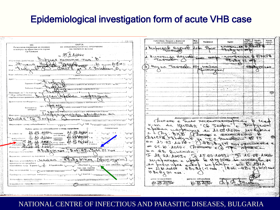## Epidemiological investigation form of acute VHB case

|                                                                                                                                                   | Собствено, башина и фамилио                     | Baa                        |                                |                                                                                                                                                                                                                                                                                                                                                                                                                                                                                                |                             | <b><i>Thoorbu</i></b> | Изход               |
|---------------------------------------------------------------------------------------------------------------------------------------------------|-------------------------------------------------|----------------------------|--------------------------------|------------------------------------------------------------------------------------------------------------------------------------------------------------------------------------------------------------------------------------------------------------------------------------------------------------------------------------------------------------------------------------------------------------------------------------------------------------------------------------------------|-----------------------------|-----------------------|---------------------|
| $2 - 126$ (77)                                                                                                                                    | име на koнmakmeiume Auua                        | paom                       | Проферия                       | Agpec:                                                                                                                                                                                                                                                                                                                                                                                                                                                                                         | nam om<br><b>LIBCABILE</b>  | Aakanuka              | <b>Candinal</b>     |
| <b>KAPTA</b><br>M3<br>ЗА ЕПИДЕМИОЛОГИЧНО ПРОУЧВАНЕ<br>Регионална инспекция за опазване                                                            |                                                 |                            |                                | MODERNIAL BRUCK                                                                                                                                                                                                                                                                                                                                                                                                                                                                                |                             |                       |                     |
| HA 3APA3HO BOAEH<br>и контрол на общественото здраве                                                                                              | Muhocrab Harrold                                | <b>Krtu</b>                | ି ଚ $\sqrt{s}$                 | <del>᠕</del> Ъѕ₦ <del>ϣ</del> ·←ᠡᡰᢁ₱                                                                                                                                                                                                                                                                                                                                                                                                                                                           |                             |                       |                     |
| :Гр.Пловдив                                                                                                                                       | TOMERO                                          |                            |                                |                                                                                                                                                                                                                                                                                                                                                                                                                                                                                                |                             |                       |                     |
| <b>MOLOS</b>                                                                                                                                      | Humoning Hagred                                 |                            | GLLEC COOK                     | - nocreauxe & QUCTA                                                                                                                                                                                                                                                                                                                                                                                                                                                                            |                             |                       |                     |
| Dubliet xeraris Tur<br>ИЕОНТА ДИАГНОЗА                                                                                                            | Taxeebor                                        |                            |                                | $\# \mathcal{B} \mathcal{H}$                                                                                                                                                                                                                                                                                                                                                                                                                                                                   | $\mathcal{A}$<br><b>COM</b> |                       |                     |
| Tanzela                                                                                                                                           |                                                 |                            |                                |                                                                                                                                                                                                                                                                                                                                                                                                                                                                                                |                             |                       |                     |
| Purus<br>oodpersearch Basparen 158                                                                                                                | Hagra Touredo tog nauzed                        |                            |                                |                                                                                                                                                                                                                                                                                                                                                                                                                                                                                                |                             | 48 Accolor            |                     |
| DNCTP-M S.C. Parotocky                                                                                                                            |                                                 |                            | octurre                        |                                                                                                                                                                                                                                                                                                                                                                                                                                                                                                |                             |                       |                     |
| Кьде раболів, учи і.                                                                                                                              |                                                 |                            |                                |                                                                                                                                                                                                                                                                                                                                                                                                                                                                                                |                             |                       |                     |
| 1. ДМД 2. ясли 3. gem. ерадина 4. у-ще 5. хра<br>«лименобаны»                                                                                     |                                                 |                            |                                |                                                                                                                                                                                                                                                                                                                                                                                                                                                                                                |                             |                       |                     |
| :Професия<br>stric Avri                                                                                                                           |                                                 |                            |                                | wil <sub>M</sub> os Pilati M                                                                                                                                                                                                                                                                                                                                                                                                                                                                   |                             |                       |                     |
| <i>\\ \or</i><br>Заразен в вр/с.<br>ввые 4, зав. за отомх 5, селско спорт, 6, при 7, прукар                                                       |                                                 |                            |                                |                                                                                                                                                                                                                                                                                                                                                                                                                                                                                                |                             |                       |                     |
| <b>Babonan Bapter L</b>                                                                                                                           |                                                 |                            |                                | وموادي والمستكملة فالملائمة والمتواد والمستدردة                                                                                                                                                                                                                                                                                                                                                                                                                                                |                             |                       |                     |
| еред сельще на ХЕИ 3, град без ХЕИ 4. сел<br>Harit                                                                                                |                                                 |                            |                                |                                                                                                                                                                                                                                                                                                                                                                                                                                                                                                |                             |                       |                     |
| Прегледан за 1-8u лът по гр./pL<br>mpaßen naßenis<br>эвод заболяването.                                                                           |                                                 |                            | <b>SPERINGS</b>                | u isko desem (kiri)                                                                                                                                                                                                                                                                                                                                                                                                                                                                            |                             |                       |                     |
| $\Delta \alpha$<br>Първоначална диагноза <u>  1000</u>                                                                                            |                                                 |                            |                                |                                                                                                                                                                                                                                                                                                                                                                                                                                                                                                |                             |                       |                     |
| Диагнозапів попівърдена L.                                                                                                                        |                                                 |                            |                                |                                                                                                                                                                                                                                                                                                                                                                                                                                                                                                |                             |                       |                     |
| . 1. клинично 2. бактир (Вирусског.) 3. сероког. 4. параклинично                                                                                  |                                                 |                            | متارزه ويؤوخ وأنهاجها والانفاء | برجرد وبهيل كالسعاب                                                                                                                                                                                                                                                                                                                                                                                                                                                                            |                             | $\sim 25$ .           |                     |
| npu Mecret<br>. 2, наблюд. континент 3, проф. превлед 4, поВ<br>Болният е                                                                         | 'nл                                             |                            |                                |                                                                                                                                                                                                                                                                                                                                                                                                                                                                                                |                             |                       |                     |
| omkoum<br>$k$ bgel $\sqrt{1}$ age.sageg                                                                                                           |                                                 |                            |                                |                                                                                                                                                                                                                                                                                                                                                                                                                                                                                                |                             |                       |                     |
| MOONUPOII / XUCINIMANIJOURI B ILLAND CUL ULLOS<br>ray                                                                                             | $15 -$                                          |                            |                                | الموافقة المنابعة المتوافقة الموافقة المعادر المساري المساري المسارية المسارية المسارية المسارية الم                                                                                                                                                                                                                                                                                                                                                                                           |                             |                       |                     |
| $C_{\mathcal{C}}$ Seobru                                                                                                                          |                                                 |                            |                                | Допълнителни данни от епидемиологичното проживани:                                                                                                                                                                                                                                                                                                                                                                                                                                             |                             |                       |                     |
| MILEN N<br><b>⊦Тран</b> спортиран                                                                                                                 | ODesero e                                       | $\boldsymbol{\mathcal{X}}$ |                                | XOCTLETOMUSEDOULO                                                                                                                                                                                                                                                                                                                                                                                                                                                                              |                             | b cent                |                     |
| $\frac{1}{25}$ kake<br>Имунизиран срещу заболяването "L_<br>1. no oxema -- seBures.<br>1. ga 2 Ho                                                 | K-Ka Ha Khusann                                 |                            |                                |                                                                                                                                                                                                                                                                                                                                                                                                                                                                                                |                             |                       |                     |
| Bokasamenu:<br>Важни данни за заболяването и епид. проучване:                                                                                     |                                                 |                            |                                | Coopre                                                                                                                                                                                                                                                                                                                                                                                                                                                                                         |                             |                       |                     |
|                                                                                                                                                   | below unopening to                              |                            |                                | ትህወሬ ይህረት                                                                                                                                                                                                                                                                                                                                                                                                                                                                                      |                             | is de                 |                     |
| 21 85 2016<br>$M_{\rm b}$ $Q3$ $\star$ $Q4$ $Q5$ $p$ pezaegan<br>A. sabaain lia<br>29.30<br>ลง 1-6⊍ ทъm                                           | Di PXB.                                         |                            |                                | DOSEN e Accordo                                                                                                                                                                                                                                                                                                                                                                                                                                                                                |                             |                       |                     |
| <b>11, 28 bold</b><br>$5.10$ $0.000$ $0.7$ xocnoman.<br>$33 - 34$<br>сиченномерце                                                                 | Stildbanks                                      |                            | المتعاجلين                     | a parabor                                                                                                                                                                                                                                                                                                                                                                                                                                                                                      |                             |                       |                     |
|                                                                                                                                                   | ぶべ<br>$30 - 09 - 20 = 66$                       |                            |                                |                                                                                                                                                                                                                                                                                                                                                                                                                                                                                                |                             |                       |                     |
| PROVIDED AS 02 ASSESSMENT POWER AND CHARLES<br>37.38                                                                                              |                                                 |                            |                                | $\mathscr{H}_{\mathscr{F}\mathscr{F}_{\mathscr{F}}}\mathscr{F}_{\mathscr{F}_{\mathscr{F}}}\mathscr{F}_{\mathscr{F}_{\mathscr{F}}}\mathscr{F}_{\mathscr{F}_{\mathscr{F}}}\mathscr{F}_{\mathscr{F}_{\mathscr{F}}}\mathscr{F}_{\mathscr{F}_{\mathscr{F}}}\mathscr{F}_{\mathscr{F}_{\mathscr{F}}}\mathscr{F}_{\mathscr{F}_{\mathscr{F}}}\mathscr{F}_{\mathscr{F}_{\mathscr{F}}}\mathscr{F}_{\mathscr{F}_{\mathscr{F}}}\mathscr{F}_{\mathscr{F}_{\mathscr{F}}}\mathscr{F}_{\mathscr{F}_{\mathscr{F$ |                             |                       |                     |
| Maxog om antweed for OB + 0009 C<br>ليهوك<br>1. odgpa3 A 2. c ocmani. Allege                                                                      | 05.10 JOINOF Change e(b) T                      |                            |                                |                                                                                                                                                                                                                                                                                                                                                                                                                                                                                                |                             | A HOLL COL            |                     |
| AntiHe Carl (1) not<br>$A$ $B$ $A$ $C$ $B$<br>Изолиран прочинител-<br>$40 - 41$                                                                   | Ha AB Bancausta                                 |                            |                                |                                                                                                                                                                                                                                                                                                                                                                                                                                                                                                |                             |                       |                     |
|                                                                                                                                                   | I to of deval I to es roof the re as root       |                            |                                |                                                                                                                                                                                                                                                                                                                                                                                                                                                                                                |                             |                       |                     |
| Веровтен саточных на заразата<br>ullominu 4, paintitu 5, apyzo - BaucBicke -                                                                      |                                                 |                            |                                |                                                                                                                                                                                                                                                                                                                                                                                                                                                                                                |                             |                       |                     |
| Intocavay va<br>Dakmosu Macmigroom & Mactiva - HBSAq HIRON<br>1. Boga 2. xpana 3. kp60 kp. npogykniu 4. meg.                                      | Nonpassane 1200                                 |                            |                                | Ve Hyste in uscreable                                                                                                                                                                                                                                                                                                                                                                                                                                                                          |                             |                       |                     |
| механизма на предаване<br>Контактини лица: В дома $\frac{L}{18}$ . В колектива $\frac{L}{48}$ . общ брой $\frac{L}{48}$ лица: В дом пак заболеди. | Not pooline upon not be no phile me too S. 2012 |                            |                                |                                                                                                                                                                                                                                                                                                                                                                                                                                                                                                |                             |                       |                     |
| Сан, хиг. оценка                                                                                                                                  | $L$ be deed of<br>$\sim$                        |                            | $A$ ben $(+)$ fift $\geq$ H    | $Hom(H)$ M $gH \supseteq GH - H$                                                                                                                                                                                                                                                                                                                                                                                                                                                               |                             |                       |                     |
| Вид на огнището: 4<br>nagekon russia 3. gobbi<br>gow 2. Konekniuß 3. kunstumpam                                                                   | H Betta (+) non                                 |                            |                                |                                                                                                                                                                                                                                                                                                                                                                                                                                                                                                |                             |                       |                     |
| ا L <sub>ea</sub> kpaŭнa L<br>CH. 3. HOUSB-DUCHE<br>Преведена резонфекция - текуща L<br>58<br>1. cBoeCpeMnHHR 2.4                                 |                                                 |                            |                                |                                                                                                                                                                                                                                                                                                                                                                                                                                                                                                |                             |                       |                     |
|                                                                                                                                                   | уата на започване                               |                            | gama на завършване             | Издършил проучванете:                                                                                                                                                                                                                                                                                                                                                                                                                                                                          |                             |                       |                     |
| Установени пропуски спрямо:<br>uorasa 2. kokmakmume 8 gowa 3, kaamakou 8 kozekasu8a                                                               | JA 709 BURE                                     |                            |                                | w                                                                                                                                                                                                                                                                                                                                                                                                                                                                                              |                             |                       |                     |
| Епедемиолог проучване е извършено от: L                                                                                                           |                                                 |                            | 10 ILI 2010-                   |                                                                                                                                                                                                                                                                                                                                                                                                                                                                                                | <b>MG1 A</b>                |                       |                     |
|                                                                                                                                                   |                                                 |                            |                                |                                                                                                                                                                                                                                                                                                                                                                                                                                                                                                |                             |                       | <b>BA MH3 N6 30</b> |
|                                                                                                                                                   |                                                 |                            |                                |                                                                                                                                                                                                                                                                                                                                                                                                                                                                                                |                             |                       |                     |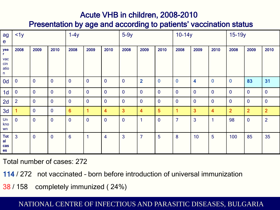### Acute VHB in children, 2008-2010

Presentation by age and according to patients' vaccination status

| ag<br>e                                                             | <1y            |                |                | $1-4y$          |                |                | $5-9y$         | $10-14y$                |              |                | 15-19y           |                |                |                |                |
|---------------------------------------------------------------------|----------------|----------------|----------------|-----------------|----------------|----------------|----------------|-------------------------|--------------|----------------|------------------|----------------|----------------|----------------|----------------|
| yea<br>$\mathsf{vac}$<br>$\operatorname{\mathsf{cin}}$<br>atio<br>n | 2008           | 2009           | 2010           | 2008            | 2009           | 2010           | 2008           | 2009                    | 2010         | 2008           | 2009             | 2010           | 2008           | 2009           | 2010           |
| 0d                                                                  | $\overline{0}$ | $\overline{0}$ | $\overline{0}$ | $\mathbf{0}$    | $\overline{0}$ | $\mathbf 0$    | $\overline{0}$ | $\overline{2}$          | $\mathbf 0$  | $\overline{0}$ | 4                | $\overline{0}$ | $\mathbf{0}$   | 83             | 31             |
| 1 <sub>d</sub>                                                      | $\mathbf{0}$   | $\overline{0}$ | $\mathbf{0}$   | $\mathbf{0}$    | $\mathbf{0}$   | $\mathbf 0$    | $\overline{0}$ | $\mathbf{0}$            | $\mathbf{0}$ | $\mathbf{0}$   | $\boldsymbol{0}$ | $\mathbf{0}$   | $\mathbf{0}$   | $\mathbf{0}$   | $\overline{0}$ |
| 2d                                                                  | $\overline{2}$ | $\overline{0}$ | $\mathbf{0}$   | $\mathbf 0$     | $\mathbf{0}$   | $\mathbf 0$    | $\overline{0}$ | $\mathbf{0}$            | $\mathbf{0}$ | $\overline{0}$ | $\boldsymbol{0}$ | $\overline{0}$ | $\overline{0}$ | $\mathbf{0}$   | $\overline{0}$ |
| 3d                                                                  |                | $\overline{0}$ | $\mathbf{0}$   | $6\phantom{1}6$ | 1              | 4              | $\overline{3}$ | $\overline{\mathbf{4}}$ | 5            | 1              | 3                | $\overline{4}$ | $\overline{2}$ | $\overline{2}$ | $\overline{2}$ |
| Un<br>kno<br>wn                                                     | $\overline{0}$ | $\overline{0}$ | $\mathbf{0}$   | $\mathbf{0}$    | $\mathbf{0}$   | $\overline{0}$ | $\overline{0}$ | 1                       | $\mathbf{0}$ | $\overline{7}$ | 3                | $\overline{1}$ | 98             | $\mathbf{0}$   | $\overline{2}$ |
| Tot<br>al<br>cas<br>es                                              | $\mathbf{3}$   | $\overline{0}$ | $\mathbf{0}$   | $6\phantom{1}6$ | 1              | $\overline{4}$ | $\overline{3}$ | $\overline{7}$          | 5            | 8              | 10               | 5              | 100            | 85             | 35             |

Total number of cases: 272

114 / 272 not vaccinated – born before introduction of universal immunization

38 / 158 completely immunized ( 24%)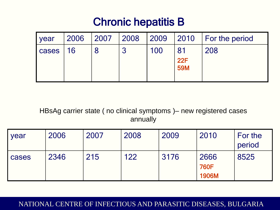## Chronic hepatitis B

| <b>vear</b> | 2006 | 2007 2008 |   |     |                          | $\vert$ 2009 $\vert$ 2010 $\vert$ For the period |
|-------------|------|-----------|---|-----|--------------------------|--------------------------------------------------|
| cases   16  |      |           | 3 | 100 | -81<br>22F<br><b>59M</b> | 208                                              |

HBsAg carrier state ( no clinical symptoms )– new registered cases annually

| year  | 2006 | 2007 | 2008 | 2009 | 2010                         | For the<br>period |
|-------|------|------|------|------|------------------------------|-------------------|
| cases | 2346 | 215  | 122  | 3176 | 2666<br><b>760F</b><br>1906M | 8525              |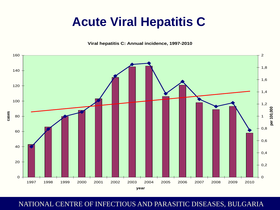# **Acute Viral Hepatitis C**

**Viral hepatitis C: Annual incidence, 1997-2010**

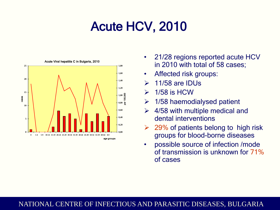# Acute HCV, 2010



- 21/28 regions reported acute HCV in 2010 with total of 58 cases;
- Affected risk groups:
- 11/58 are IDUs
- $\geq 1/58$  is HCW
- $\geq$  1/58 haemodialysed patient
- $\geq$  4/58 with multiple medical and dental interventions
- 29% of patients belong to high risk groups for blood-borne diseases
- possible source of infection /mode of transmission is unknown for 71% of cases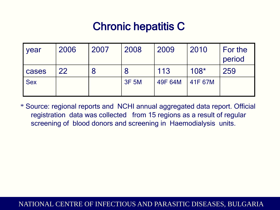# Chronic hepatitis C

| vear       | 2006 | 2007 | 2008         | 2009    | 2010    | For the<br>period |
|------------|------|------|--------------|---------|---------|-------------------|
| cases      | 22   |      |              | 113     | $108*$  | 259               |
| <b>Sex</b> |      |      | <b>3F 5M</b> | 49F 64M | 41F 67M |                   |

\* Source: regional reports and NCHI annual aggregated data report. Official registration data was collected from 15 regions as a result of regular screening of blood donors and screening in Haemodialysis units.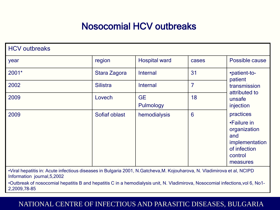## Nosocomial HCV outbreaks

| <b>HCV</b> outbreaks |                 |                        |       |                                                                                                          |
|----------------------|-----------------|------------------------|-------|----------------------------------------------------------------------------------------------------------|
| year                 | region          | <b>Hospital ward</b>   | cases | Possible cause                                                                                           |
| 2001*                | Stara Zagora    | Internal               | 31    | •patient-to-<br>patient                                                                                  |
| 2002                 | <b>Silistra</b> | Internal               | 7     | transmission<br>attributed to                                                                            |
| 2009                 | Lovech          | <b>GE</b><br>Pulmology | 18    | unsafe<br>injection                                                                                      |
| 2009                 | Sofiaf oblast   | hemodialysis           | 6     | practices<br>•Failure in<br>organization<br>and<br>implementation<br>of infection<br>control<br>measures |

•Viral hepatitis in: Acute infectious diseases in Bulgaria 2001, N.Gatcheva,M. Kojouharova, N. Vladimirova et al, NCIPD Information journal,5,2002

•Outbreak of nosocomial hepatitis B and hepatitis C in a hemodialysis unit, N. Vladimirova, Nosocomial infections,vol 6, No1- 2,2009,78-85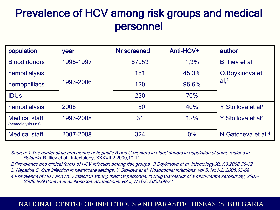## Prevalence of HCV among risk groups and medical personnel

| population                                  | year      | Nr screened | Anti-HCV+ | author                            |
|---------------------------------------------|-----------|-------------|-----------|-----------------------------------|
| <b>Blood donors</b>                         | 1995-1997 | 67053       | 1,3%      | B. Iliev et al <sup>1</sup>       |
| hemodialysis                                | 1993-2006 | 161         | 45,3%     | O.Boykinova et<br>al <sup>2</sup> |
| hemophiliacs                                |           | 120         | 96,6%     |                                   |
| <b>IDUS</b>                                 |           | 230         | 70%       |                                   |
| hemodialysis                                | 2008      | 80          | 40%       | Y. Stoilova et al <sup>3</sup>    |
| <b>Medical staff</b><br>(hemodialysis unit) | 1993-2008 | 31          | 12%       | Y. Stoilova et al <sup>3</sup>    |
| <b>Medical staff</b>                        | 2007-2008 | 324         | 0%        | N.Gatcheva et al $4$              |

Source: 1.The carrier state prevalence of hepatitis B and C markers in blood donors in population of some regions in Bulgaria, B. Iliev et al , Infectology, XXXVII,2,2000,10-11

2.Prevalence and clinical forms of HCV infection among risk groups. O.Boykinova et al, Infectology,XLV,3,2008,30-32

3. Hepatitis C virus infection in healthcare settings, Y.Stoilova et al, Nosocomial infections, vol 5, No1-2, 2008,63-68

4.Prevalence of HBV and HCV infection among medical personnel in Bulgaria:results of a multi-centre serosurvey, 2007- 2008, N.Gatcheva et al, Nosocomial infections, vol 5, No1-2, 2008,69-74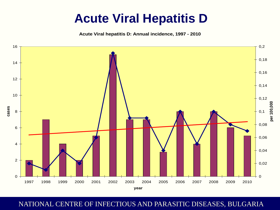# **Acute Viral Hepatitis D**

**Acute Viral hepatitis D: Annual incidence, 1997 - 2010**

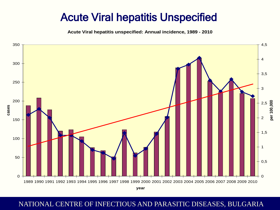## Acute Viral hepatitis Unspecified

**Acute Viral hepatitis unspecified: Annual incidence, 1989 - 2010**



NATIONAL CENTRE OF INFECTIOUS AND PARASITIC DISEASES, BULGARIA